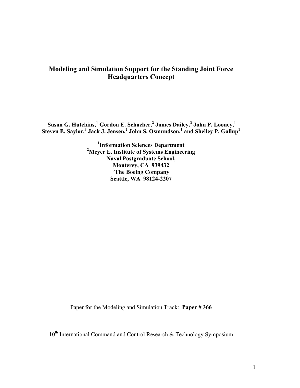## **Modeling and Simulation Support for the Standing Joint Force Headquarters Concept**

Susan G. Hutchins,<sup>1</sup> Gordon E. Schacher,<sup>2</sup> James Dailey,<sup>3</sup> John P. Looney,<sup>1</sup> **Steven E. Saylor,<sup>3</sup> Jack J. Jensen,<sup>2</sup> John S. Osmundson,<sup>1</sup> and Shelley P. Gallup1**

> **1 Information Sciences Department 2 Meyer E. Institute of Systems Engineering Naval Postgraduate School, Monterey, CA 939432 3 The Boeing Company Seattle, WA 98124-2207**

Paper for the Modeling and Simulation Track: **Paper # 366**

10<sup>th</sup> International Command and Control Research & Technology Symposium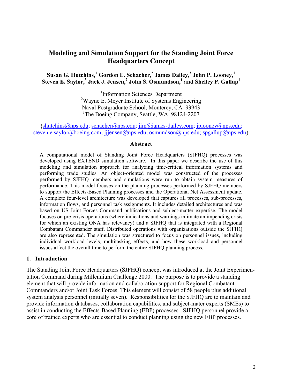# **Modeling and Simulation Support for the Standing Joint Force Headquarters Concept**

#### $\boldsymbol{\mathrm{S}}$ usan G. Hutchins, $^{1}$  Gordon E. Schacher, $^{2}$  James Dailey, $^{3}$  John P. Looney, $^{1}$ **Steven E. Saylor,<sup>3</sup> Jack J. Jensen,<sup>2</sup> John S. Osmundson,<sup>1</sup> and Shelley P. Gallup1**

1 Information Sciences Department <sup>2</sup>Wayne E. Meyer Institute of Systems Engineering Naval Postgraduate School, Monterey, CA 93943 <sup>3</sup>The Boeing Company, Seattle, WA 98124-2207

{shutchins@nps.edu; schacher@nps.edu; jim@james-dailey.com; jplooney@nps.edu; steven.e.saylor@boeing.com; jjjensen@nps.edu; osmundson@nps.edu; spgallup@nps.edu}

#### **Abstract**

A computational model of Standing Joint Force Headquarters (SJFHQ) processes was developed using EXTEND simulation software. In this paper we describe the use of this modeling and simulation approach for analyzing time-critical information systems and performing trade studies. An object-oriented model was constructed of the processes performed by SJFHQ members and simulations were run to obtain system measures of performance. This model focuses on the planning processes performed by SJFHQ members to support the Effects-Based Planning processes and the Operational Net Assessment update. A complete four-level architecture was developed that captures all processes, sub-processes, information flows, and personnel task assignments. It includes detailed architectures and was based on US Joint Forces Command publications and subject-matter expertise. The model focuses on pre-crisis operations (where indications and warnings intimate an impending crisis for which an existing ONA has relevancy) and a SJFHQ that is integrated with a Regional Combatant Commander staff. Distributed operations with organizations outside the SJFHQ are also represented. The simulation was structured to focus on personnel issues, including individual workload levels, multitasking effects, and how these workload and personnel issues affect the overall time to perform the entire SJFHQ planning process.

#### **1. Introduction**

The Standing Joint Force Headquarters (SJFHQ) concept was introduced at the Joint Experimentation Command during Millennium Challenge 2000. The purpose is to provide a standing element that will provide information and collaboration support for Regional Combatant Commanders and/or Joint Task Forces. This element will consist of 58 people plus additional system analysis personnel (initially seven). Responsibilities for the SJFHQ are to maintain and provide information databases, collaboration capabilities, and subject-mater experts (SMEs) to assist in conducting the Effects-Based Planning (EBP) processes. SJFHQ personnel provide a core of trained experts who are essential to conduct planning using the new EBP processes.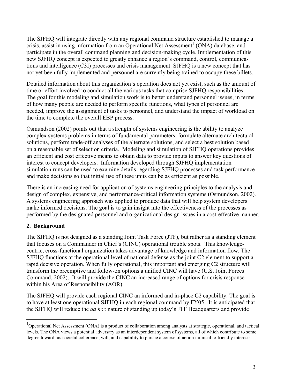The SJFHQ will integrate directly with any regional command structure established to manage a crisis, assist in using information from an Operational Net Assessment<sup>1</sup> (ONA) database, and participate in the overall command planning and decision-making cycle. Implementation of this new SJFHQ concept is expected to greatly enhance a region's command, control, communications and intelligence (C3I) processes and crisis management. SJFHQ is a new concept that has not yet been fully implemented and personnel are currently being trained to occupy these billets.

Detailed information about this organization's operation does not yet exist, such as the amount of time or effort involved to conduct all the various tasks that comprise SJFHQ responsibilities. The goal for this modeling and simulation work is to better understand personnel issues, in terms of how many people are needed to perform specific functions, what types of personnel are needed, improve the assignment of tasks to personnel, and understand the impact of workload on the time to complete the overall EBP process.

Osmundson (2002) points out that a strength of systems engineering is the ability to analyze complex systems problems in terms of fundamental parameters, formulate alternate architectural solutions, perform trade-off analyses of the alternate solutions, and select a best solution based on a reasonable set of selection criteria. Modeling and simulation of SJFHQ operations provides an efficient and cost effective means to obtain data to provide inputs to answer key questions of interest to concept developers. Information developed through SJFHQ implementation simulation runs can be used to examine details regarding SJFHQ processes and task performance and make decisions so that initial use of these units can be as efficient as possible.

There is an increasing need for application of systems engineering principles to the analysis and design of complex, expensive, and performance-critical information systems (Osmundson, 2002). A systems engineering approach was applied to produce data that will help system developers make informed decisions. The goal is to gain insight into the effectiveness of the processes as performed by the designated personnel and organizational design issues in a cost-effective manner.

### **2. Background**

 $\overline{a}$ 

The SJFHQ is not designed as a standing Joint Task Force (JTF), but rather as a standing element that focuses on a Commander in Chief's (CINC) operational trouble spots. This knowledgecentric, cross-functional organization takes advantage of knowledge and information flow. The SJFHQ functions at the operational level of national defense as the joint C2 element to support a rapid decisive operation. When fully operational, this important and emerging C2 structure will transform the preemptive and follow-on options a unified CINC will have (U.S. Joint Forces Command, 2002). It will provide the CINC an increased range of options for crisis response within his Area of Responsibility (AOR).

The SJFHQ will provide each regional CINC an informed and in-place C2 capability. The goal is to have at least one operational SJFHQ in each regional command by FY05. It is anticipated that the SJFHQ will reduce the *ad hoc* nature of standing up today's JTF Headquarters and provide

<sup>&</sup>lt;sup>1</sup>Operational Net Assessment (ONA) is a product of collaboration among analysts at strategic, operational, and tactical levels. The ONA views a potential adversary as an interdependent system of systems, all of which contribute to some degree toward his societal coherence, will, and capability to pursue a course of action inimical to friendly interests.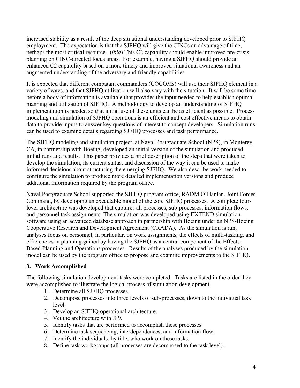increased stability as a result of the deep situational understanding developed prior to SJFHQ employment. The expectation is that the SJFHQ will give the CINCs an advantage of time, perhaps the most critical resource. (*ibid*) This C2 capability should enable improved pre-crisis planning on CINC-directed focus areas. For example, having a SJFHQ should provide an enhanced C2 capability based on a more timely and improved situational awareness and an augmented understanding of the adversary and friendly capabilities.

It is expected that different combatant commanders (COCOMs) will use their SJFHQ element in a variety of ways, and that SJFHQ utilization will also vary with the situation. It will be some time before a body of information is available that provides the input needed to help establish optimal manning and utilization of SJFHQ. A methodology to develop an understanding of SJFHQ implementation is needed so that initial use of these units can be as efficient as possible. Process modeling and simulation of SJFHQ operations is an efficient and cost effective means to obtain data to provide inputs to answer key questions of interest to concept developers. Simulation runs can be used to examine details regarding SJFHQ processes and task performance.

The SJFHQ modeling and simulation project, at Naval Postgraduate School (NPS), in Monterey, CA, in partnership with Boeing, developed an initial version of the simulation and produced initial runs and results. This paper provides a brief description of the steps that were taken to develop the simulation, its current status, and discussion of the way it can be used to make informed decisions about structuring the emerging SJFHQ. We also describe work needed to configure the simulation to produce more detailed implementation versions and produce additional information required by the program office.

Naval Postgraduate School supported the SJFHQ program office, RADM O'Hanlan, Joint Forces Command, by developing an executable model of the core SJFHQ processes. A complete fourlevel architecture was developed that captures all processes, sub-processes, information flows, and personnel task assignments. The simulation was developed using EXTEND simulation software using an advanced database approach in partnership with Boeing under an NPS-Boeing Cooperative Research and Development Agreement (CRADA). As the simulation is run, analyses focus on personnel, in particular, on work assignments, the effects of multi-tasking, and efficiencies in planning gained by having the SJFHQ as a central component of the Effects-Based Planning and Operations processes. Results of the analyses produced by the simulation model can be used by the program office to propose and examine improvements to the SJFHQ.

### **3. Work Accomplished**

The following simulation development tasks were completed. Tasks are listed in the order they were accomplished to illustrate the logical process of simulation development.

- 1. Determine all SJFHQ processes.
- 2. Decompose processes into three levels of sub-processes, down to the individual task level.
- 3. Develop an SJFHQ operational architecture.
- 4. Vet the architecture with J89.
- 5. Identify tasks that are performed to accomplish these processes.
- 6. Determine task sequencing, interdependences, and information flow.
- 7. Identify the individuals, by title, who work on these tasks.
- 8. Define task workgroups (all processes are decomposed to the task level).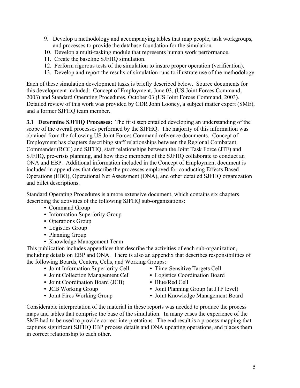- 9. Develop a methodology and accompanying tables that map people, task workgroups, and processes to provide the database foundation for the simulation.
- 10. Develop a multi-tasking module that represents human work performance.
- 11. Create the baseline SJFHQ simulation.
- 12. Perform rigorous tests of the simulation to insure proper operation (verification).
- 13. Develop and report the results of simulation runs to illustrate use of the methodology.

Each of these simulation development tasks is briefly described below. Source documents for this development included: Concept of Employment, June 03, (US Joint Forces Command, 2003**)** and Standard Operating Procedures, October 03 (US Joint Forces Command, 2003**)**. Detailed review of this work was provided by CDR John Looney, a subject matter expert (SME), and a former SJFHQ team member.

**3.1 Determine SJFHQ Processes:** The first step entailed developing an understanding of the scope of the overall processes performed by the SJFHQ. The majority of this information was obtained from the following US Joint Forces Command reference documents. Concept of Employment has chapters describing staff relationships between the Regional Combatant Commander (RCC) and SJFHQ, staff relationships between the Joint Task Force (JTF) and SJFHQ, pre-crisis planning, and how these members of the SJFHQ collaborate to conduct an ONA and EBP. Additional information included in the Concept of Employment document is included in appendices that describe the processes employed for conducting Effects Based Operations (EBO), Operational Net Assessment (ONA), and other detailed SJFHQ organization and billet descriptions.

Standard Operating Procedures is a more extensive document, which contains six chapters describing the activities of the following SJFHQ sub-organizations:

- **•** Command Group
- **•** Information Superiority Group
- Operations Group
- Logistics Group
- **•** Planning Group
- **•** Knowledge Management Team

This publication includes appendices that describe the activities of each sub-organization, including details on EBP and ONA. There is also an appendix that describes responsibilities of the following Boards, Centers, Cells, and Working Groups:

- **•** Joint Information Superiority Cell **•** Time-Sensitive Targets Cell
- Joint Collection Management Cell Logistics Coordination Board
- **•** Joint Coordination Board (JCB) **•** Blue/Red Cell
- 
- 
- 
- 
- 
- Joint Planning Group (at JTF level)
- Joint Fires Working Group Joint Knowledge Management Board

Considerable interpretation of the material in these reports was needed to produce the process maps and tables that comprise the base of the simulation. In many cases the experience of the SME had to be used to provide correct interpretations. The end result is a process mapping that captures significant SJFHQ EBP process details and ONA updating operations, and places them in correct relationship to each other.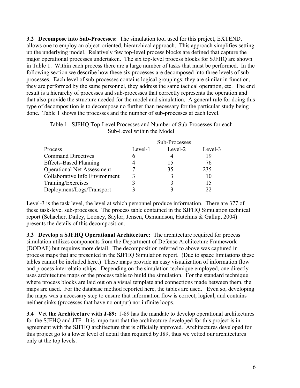**3.2 Decompose into Sub-Processes:** The simulation tool used for this project, EXTEND, allows one to employ an object-oriented, hierarchical approach. This approach simplifies setting up the underlying model. Relatively few top-level process blocks are defined that capture the major operational processes undertaken. The six top-level process blocks for SJFHQ are shown in Table 1. Within each process there are a large number of tasks that must be performed. In the following section we describe how these six processes are decomposed into three levels of subprocesses. Each level of sub-processes contains logical groupings; they are similar in function, they are performed by the same personnel, they address the same tactical operation, etc. The end result is a hierarchy of processes and sub-processes that correctly represents the operation and that also provide the structure needed for the model and simulation. A general rule for doing this type of decomposition is to decompose no further than necessary for the particular study being done. Table 1 shows the processes and the number of sub-processes at each level.

|                                   | Sub-Processes |         |         |  |  |  |
|-----------------------------------|---------------|---------|---------|--|--|--|
| Process                           | Level-1       | Level-2 | Level-3 |  |  |  |
| <b>Command Directives</b>         |               |         | 19      |  |  |  |
| <b>Effects-Based Planning</b>     |               |         | 76      |  |  |  |
| <b>Operational Net Assessment</b> |               | 35      | 235     |  |  |  |
| Collaborative Info Environment    |               |         |         |  |  |  |
| Training/Exercises                |               |         |         |  |  |  |
| Deployment/Logs/Transport         |               |         | つつ      |  |  |  |

Table 1. SJFHQ Top-Level Processes and Number of Sub-Processes for each Sub-Level within the Model

Level-3 is the task level, the level at which personnel produce information. There are 377 of these task-level sub-processes. The process table contained in the SJFHQ Simulation technical report (Schacher, Dailey, Looney, Saylor, Jensen, Osmundson, Hutchins & Gallup, 2004) presents the details of this decomposition.

**3.3 Develop a SJFHQ Operational Architecture:** The architecture required for process simulation utilizes components from the Department of Defense Architecture Framework (DODAF) but requires more detail. The decomposition referred to above was captured in process maps that are presented in the SJFHQ Simulation report. (Due to space limitations these tables cannot be included here.) These maps provide an easy visualization of information flow and process interrelationships. Depending on the simulation technique employed, one directly uses architecture maps or the process table to build the simulation. For the standard technique where process blocks are laid out on a visual template and connections made between them, the maps are used. For the database method reported here, the tables are used. Even so, developing the maps was a necessary step to ensure that information flow is correct, logical, and contains neither sinks (processes that have no output) nor infinite loops.

**3.4 Vet the Architecture with J-89:** J-89 has the mandate to develop operational architectures for the SJFHQ and JTF. It is important that the architecture developed for this project is in agreement with the SJFHQ architecture that is officially approved. Architectures developed for this project go to a lower level of detail than required by J89, thus we vetted our architectures only at the top levels.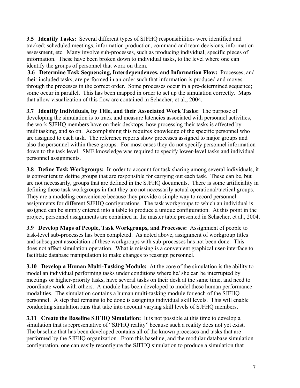**3.5 Identify Tasks:** Several different types of SJFHQ responsibilities were identified and tracked: scheduled meetings, information production, command and team decisions, information assessment, etc. Many involve sub-processes, such as producing individual, specific pieces of information. These have been broken down to individual tasks, to the level where one can identify the groups of personnel that work on them.

**3.6 Determine Task Sequencing, Interdependences, and Information Flow:** Processes, and their included tasks, are performed in an order such that information is produced and moves through the processes in the correct order. Some processes occur in a pre-determined sequence; some occur in parallel. This has been mapped in order to set up the simulation correctly. Maps that allow visualization of this flow are contained in Schacher, et al., 2004.

**3.7 Identify Individuals, by Title, and their Associated Work Tasks:** The purpose of developing the simulation is to track and measure latencies associated with personnel activities, the work SJFHQ members have on their desktops, how processing their tasks is affected by multitasking, and so on. Accomplishing this requires knowledge of the specific personnel who are assigned to each task. The reference reports show processes assigned to major groups and also the personnel within these groups. For most cases they do not specify personnel information down to the task level. SME knowledge was required to specify lower-level tasks and individual personnel assignments.

**3.8 Define Task Workgroups:** In order to account for task sharing among several individuals, it is convenient to define groups that are responsible for carrying out each task. These can be, but are not necessarily, groups that are defined in the SJFHQ documents. There is some artificiality in defining these task workgroups in that they are not necessarily actual operational/tactical groups. They are a modeling convenience because they provide a simple way to record personnel assignments for different SJFHQ configurations. The task workgroups to which an individual is assigned can be simply entered into a table to produce a unique configuration. At this point in the project, personnel assignments are contained in the master table presented in Schacher, et al., 2004.

**3.9 Develop Maps of People, Task Workgroups, and Processes:** Assignment of people to task-level sub-processes has been completed. As noted above, assignment of workgroup titles and subsequent association of these workgroups with sub-processes has not been done. This does not affect simulation operation. What is missing is a convenient graphical user-interface to facilitate database manipulation to make changes to reassign personnel.

**3.10 Develop a Human Multi-Tasking Module:** At the core of the simulation is the ability to model an individual performing tasks under conditions where he/ she can be interrupted by meetings or higher-priority tasks, have several tasks on their desk at the same time, and need to coordinate work with others. A module has been developed to model these human performance modalities. The simulation contains a human multi-tasking module for each of the SJFHQ personnel. A step that remains to be done is assigning individual skill levels. This will enable conducting simulation runs that take into account varying skill levels of SJFHQ members.

**3.11 Create the Baseline SJFHQ Simulation:** It is not possible at this time to develop a simulation that is representative of "SJFHQ reality" because such a reality does not yet exist. The baseline that has been developed contains all of the known processes and tasks that are performed by the SJFHQ organization. From this baseline, and the modular database simulation configuration, one can easily reconfigure the SJFHQ simulation to produce a simulation that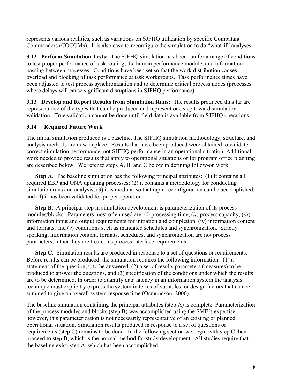represents various realities, such as variations on SJFHQ utilization by specific Combatant Commanders (COCOMs). It is also easy to reconfigure the simulation to do "what-if" analyses.

**3.12 Perform Simulation Tests:** The SJFHQ simulation has been run for a range of conditions to test proper performance of task routing, the human performance module, and information passing between processes. Conditions have been set so that the work distribution causes overload and blocking of task performance at task workgroups. Task performance times have been adjusted to test process synchronization and to determine critical process nodes (processes where delays will cause significant disruptions in SJFHQ performance).

**3.13 Develop and Report Results from Simulation Runs:** The results produced thus far are representative of the types that can be produced and represent one step toward simulation validation. True validation cannot be done until field data is available from SJFHQ operations.

## **3.14 Required Future Work**

The initial simulation produced is a baseline. The SJFHQ simulation methodology, structure, and analysis methods are now in place. Results that have been produced were obtained to validate correct simulation performance, not SJFHQ performance in an operational situation. Additional work needed to provide results that apply to operational situations or for program office planning are described below. We refer to steps A, B, and C below in defining follow-on work.

**Step A**. The baseline simulation has the following principal attributes: (1) It contains all required EBP and ONA updating processes; (2) it contains a methodology for conducting simulation runs and analysis; (3) it is modular so that rapid reconfiguration can be accomplished; and (4) it has been validated for proper operation.

**Step B**. A principal step in simulation development is parameterization of its process modules/blocks. Parameters most often used are: (*i*) processing time, (*ii*) process capacity, (*iii*) information input and output requirements for initiation and completion, (iv) information content and formats, and (*v*) conditions such as mandated schedules and synchronization. Strictly speaking, information content, formats, schedules, and synchronization are not process parameters, rather they are treated as process interface requirements.

**Step C**. Simulation results are produced in response to a set of questions or requirements. Before results can be produced, the simulation requires the following information: (1) a statement of the question(s) to be answered, (2) a set of results parameters (measures) to be produced to answer the questions, and (3) specification of the conditions under which the results are to be determined. In order to quantify data latency in an information system the analysis technique must explicitly express the system in terms of variables, or design factors that can be summed to give an overall system response time (Osmundson, 2000).

The baseline simulation containing the principal attributes (step A) is complete. Parameterization of the process modules and blocks (step B) was accomplished using the SME's expertise, however, this parameterization is not necessarily representative of an existing or planned operational situation. Simulation results produced in response to a set of questions or requirements (step C) remains to be done. In the following section we begin with step C then proceed to step B, which is the normal method for study development. All studies require that the baseline exist, step A, which has been accomplished.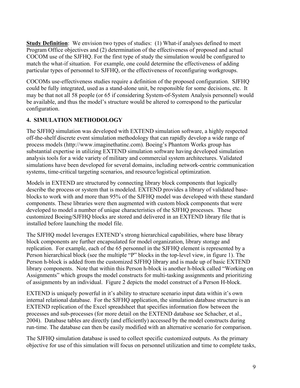**Study Definition**: We envision two types of studies: (1) What-if analyses defined to meet Program Office objectives and (2) determination of the effectiveness of proposed and actual COCOM use of the SJFHQ. For the first type of study the simulation would be configured to match the what-if situation. For example, one could determine the effectiveness of adding particular types of personnel to SJFHQ, or the effectiveness of reconfiguring workgroups.

COCOMs use-effectiveness studies require a definition of the proposed configuration. SJFHQ could be fully integrated, used as a stand-alone unit, be responsible for some decisions, etc. It may be that not all 58 people (or 65 if considering System-of-System Analysis personnel) would be available, and thus the model's structure would be altered to correspond to the particular configuration.

## **4. SIMULATION METHODOLOGY**

The SJFHQ simulation was developed with EXTEND simulation software, a highly respected off-the-shelf discrete event simulation methodology that can rapidly develop a wide range of process models (http://www.imaginethatinc.com). Boeing's Phantom Works group has substantial expertise in utilizing EXTEND simulation software having developed simulation analysis tools for a wide variety of military and commercial system architectures. Validated simulations have been developed for several domains, including network-centric communication systems, time-critical targeting scenarios, and resource/logistical optimization.

Models in EXTEND are structured by connecting library block components that logically describe the process or system that is modeled. EXTEND provides a library of validated baseblocks to work with and more than 95% of the SJFHQ model was developed with these standard components. These libraries were then augmented with custom block components that were developed to model a number of unique characteristics of the SJFHQ processes. These customized Boeing/SJFHQ blocks are stored and delivered in an EXTEND library file that is installed before launching the model file.

The SJFHQ model leverages EXTEND's strong hierarchical capabilities, where base library block components are further encapsulated for model organization, library storage and replication. For example, each of the 65 personnel in the SJFHQ element is represented by a Person hierarchical block (see the multiple "P" blocks in the top-level view, in figure 1). The Person h-block is added from the customized SJFHQ library and is made up of basic EXTEND library components. Note that within this Person h-block is another h-block called "Working on Assignments" which groups the model constructs for multi-tasking assignments and prioritizing of assignments by an individual. Figure 2 depicts the model construct of a Person H-block.

EXTEND is uniquely powerful in it's ability to structure scenario input data within it's own internal relational database. For the SJFHQ application, the simulation database structure is an EXTEND replication of the Excel spreadsheet that specifies information flow between the processes and sub-processes (for more detail on the EXTEND database see Schacher, et al., 2004). Database tables are directly (and efficiently) accessed by the model constructs during run-time. The database can then be easily modified with an alternative scenario for comparison.

The SJFHQ simulation database is used to collect specific customized outputs. As the primary objective for use of this simulation will focus on personnel utilization and time to complete tasks,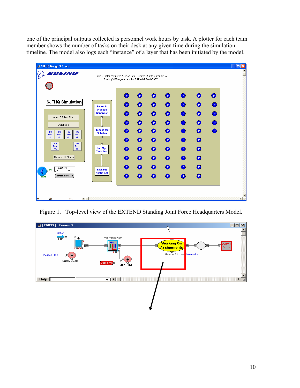one of the principal outputs collected is personnel work hours by task. A plotter for each team member shows the number of tasks on their desk at any given time during the simulation timeline. The model also logs each "instance" of a layer that has been initiated by the model.



Figure 1. Top-level view of the EXTEND Standing Joint Force Headquarters Model.

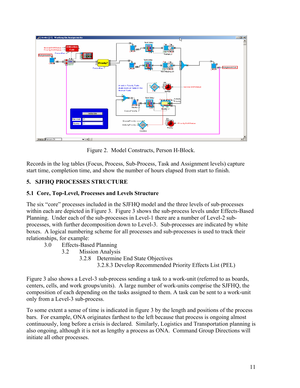

Figure 2. Model Constructs, Person H-Block.

Records in the log tables (Focus, Process, Sub-Process, Task and Assignment levels) capture start time, completion time, and show the number of hours elapsed from start to finish.

# **5. SJFHQ PROCESSES STRUCTURE**

### **5.1 Core, Top-Level, Processes and Levels Structure**

The six "core" processes included in the SJFHQ model and the three levels of sub-processes within each are depicted in Figure 3. Figure 3 shows the sub-process levels under Effects-Based Planning. Under each of the sub-processes in Level-1 there are a number of Level-2 subprocesses, with further decomposition down to Level-3. Sub-processes are indicated by white boxes. A logical numbering scheme for all processes and sub-processes is used to track their relationships, for example:

- 3.0 Effects-Based Planning
	- 3.2 Mission Analysis
		- 3.2.8 Determine End State Objectives

3.2.8.3 Develop Recommended Priority Effects List (PEL)

Figure 3 also shows a Level-3 sub-process sending a task to a work-unit (referred to as boards, centers, cells, and work groups/units). A large number of work-units comprise the SJFHQ, the composition of each depending on the tasks assigned to them. A task can be sent to a work-unit only from a Level-3 sub-process.

To some extent a sense of time is indicated in figure 3 by the length and positions of the process bars. For example, ONA originates farthest to the left because that process is ongoing almost continuously, long before a crisis is declared. Similarly, Logistics and Transportation planning is also ongoing, although it is not as lengthy a process as ONA. Command Group Directions will initiate all other processes.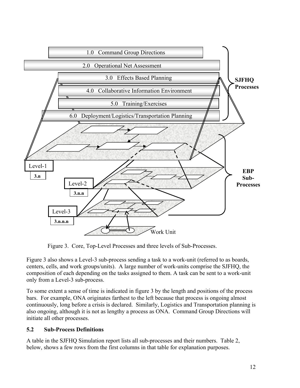

Figure 3. Core, Top-Level Processes and three levels of Sub-Processes.

Figure 3 also shows a Level-3 sub-process sending a task to a work-unit (referred to as boards, centers, cells, and work groups/units). A large number of work-units comprise the SJFHQ, the composition of each depending on the tasks assigned to them. A task can be sent to a work-unit only from a Level-3 sub-process.

To some extent a sense of time is indicated in figure 3 by the length and positions of the process bars. For example, ONA originates farthest to the left because that process is ongoing almost continuously, long before a crisis is declared. Similarly, Logistics and Transportation planning is also ongoing, although it is not as lengthy a process as ONA. Command Group Directions will initiate all other processes.

### **5.2 Sub-Process Definitions**

A table in the SJFHQ Simulation report lists all sub-processes and their numbers. Table 2, below, shows a few rows from the first columns in that table for explanation purposes.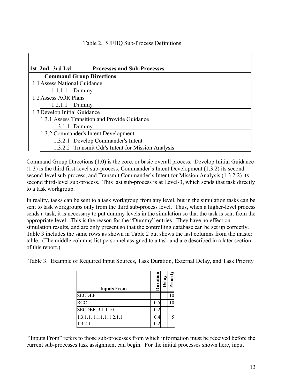$\mathbf{I}$ 

| 1st 2nd 3rd Lvl<br><b>Processes and Sub-Processes</b> |
|-------------------------------------------------------|
| <b>Command Group Directions</b>                       |
| 1.1 Assess National Guidance                          |
| $1.1.1.1$ Dummy                                       |
| 1.2 Assess AOR Plans                                  |
| $1.2.1.1$ Dummy                                       |
| 1.3 Develop Initial Guidance                          |
| 1.3.1 Assess Transition and Provide Guidance          |
| $1.3.1.1$ Dummy                                       |
| 1.3.2 Commander's Intent Development                  |
| 1.3.2.1 Develop Commander's Intent                    |
| 1.3.2.2 Transmit Cdr's Intent for Mission Analysis    |

Command Group Directions (1.0) is the core, or basic overall process. Develop Initial Guidance (1.3) is the third first-level sub-process, Commander's Intent Development (1.3.2) its second second-level sub-process, and Transmit Commander's Intent for Mission Analysis (1.3.2.2) its second third-level sub-process. This last sub-process is at Level-3, which sends that task directly to a task workgroup.

In reality, tasks can be sent to a task workgroup from any level, but in the simulation tasks can be sent to task workgroups only from the third sub-process level. Thus, when a higher-level process sends a task, it is necessary to put dummy levels in the simulation so that the task is sent from the appropriate level. This is the reason for the "Dummy" entries. They have no effect on simulation results, and are only present so that the controlling database can be set up correctly. Table 3 includes the same rows as shown in Table 2 but shows the last columns from the master table. (The middle columns list personnel assigned to a task and are described in a later section of this report.)

Table 3. Example of Required Input Sources, Task Duration, External Delay, and Task Priority

| <b>Inputs From</b>        |     | $\frac{a}{a}$ | Priori |
|---------------------------|-----|---------------|--------|
| <b>SECDEF</b>             |     |               | 10     |
| <b>RCC</b>                | 0.5 |               | 10     |
| SECDEF, 3.1.1.10          | 0.2 |               |        |
| 1.3.1.1, 1.1.1.1, 1.2.1.1 | 0.4 |               |        |
| 1.3.2.1                   |     |               |        |

 "Inputs From" refers to those sub-processes from which information must be received before the current sub-processes task assignment can begin. For the initial processes shown here, input

 $\mathbf{I}$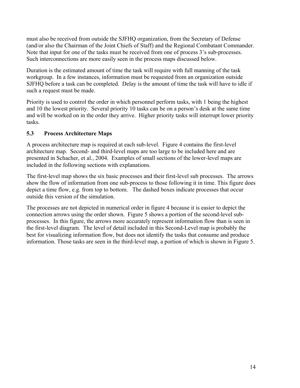must also be received from outside the SJFHQ organization, from the Secretary of Defense (and/or also the Chairman of the Joint Chiefs of Staff) and the Regional Combatant Commander. Note that input for one of the tasks must be received from one of process 3's sub-processes. Such interconnections are more easily seen in the process maps discussed below.

Duration is the estimated amount of time the task will require with full manning of the task workgroup. In a few instances, information must be requested from an organization outside SJFHQ before a task can be completed. Delay is the amount of time the task will have to idle if such a request must be made.

Priority is used to control the order in which personnel perform tasks, with 1 being the highest and 10 the lowest priority. Several priority 10 tasks can be on a person's desk at the same time and will be worked on in the order they arrive. Higher priority tasks will interrupt lower priority tasks.

### **5.3 Process Architecture Maps**

A process architecture map is required at each sub-level. Figure 4 contains the first-level architecture map. Second- and third-level maps are too large to be included here and are presented in Schacher, et al., 2004. Examples of small sections of the lower-level maps are included in the following sections with explanations.

The first-level map shows the six basic processes and their first-level sub processes. The arrows show the flow of information from one sub-process to those following it in time. This figure does depict a time flow, e.g. from top to bottom. The dashed boxes indicate processes that occur outside this version of the simulation.

The processes are not depicted in numerical order in figure 4 because it is easier to depict the connection arrows using the order shown. Figure 5 shows a portion of the second-level subprocesses. In this figure, the arrows more accurately represent information flow than is seen in the first-level diagram. The level of detail included in this Second-Level map is probably the best for visualizing information flow, but does not identify the tasks that consume and produce information. Those tasks are seen in the third-level map, a portion of which is shown in Figure 5.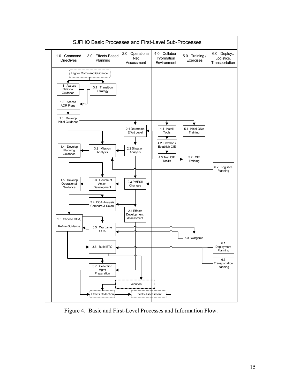

Figure 4. Basic and First-Level Processes and Information Flow.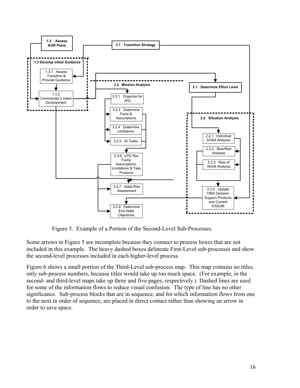

Figure 5. Example of a Portion of the Second-Level Sub-Processes.

Some arrows in Figure 5 are incomplete because they connect to process boxes that are not included in this example. The heavy dashed boxes delineate First-Level sub-processes and show the second-level processes included in each higher-level process.

Figure 6 shows a small portion of the Third-Level sub-process map. This map contains no titles, only sub-process numbers, because titles would take up too much space. (For example, in the second- and third-level maps take up three and five pages, respectively.) Dashed lines are used for some of the information flows to reduce visual confusion. The type of line has no other significance. Sub-process blocks that are in sequence, and for which information flows from one to the next in order of sequence, are placed in direct contact rather than showing an arrow in order to save space.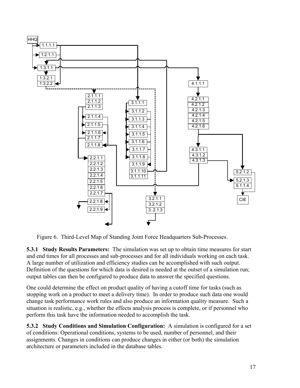

Figure 6. Third-Level Map of Standing Joint Force Headquarters Sub-Processes.

**5.3.1 Study Results Parameters:** The simulation was set up to obtain time measures for start and end times for all processes and sub-processes and for all individuals working on each task. A large number of utilization and efficiency studies can be accomplished with such output. Definition of the questions for which data is desired is needed at the outset of a simulation run; output tables can then be configured to produce data to answer the specified questions.

One could determine the effect on product quality of having a cutoff time for tasks (such as stopping work on a product to meet a delivery time). In order to produce such data one would change task performance work rules and also produce an information quality measure. Such a situation is realistic, e.g., whether the effects analysis process is complete, or if personnel who perform this task have the information needed to accomplish the task.

**5.3.2 Study Conditions and Simulation Configuration:** A simulation is configured for a set of conditions: Operational conditions, systems to be used, number of personnel, and their assignments. Changes in conditions can produce changes in either (or both) the simulation architecture or parameters included in the database tables.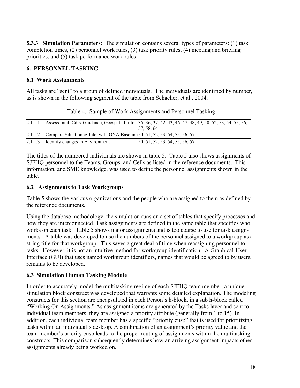**5.3.3 Simulation Parameters:** The simulation contains several types of parameters: (1) task completion times, (2) personnel work rules, (3) task priority rules, (4) meeting and briefing priorities, and (5) task performance work rules.

## **6. PERSONNEL TASKING**

#### **6.1 Work Assignments**

All tasks are "sent" to a group of defined individuals. The individuals are identified by number, as is shown in the following segment of the table from Schacher, et al., 2004.

| Table 4. Sample of Work Assignments and Personnel Tasking |
|-----------------------------------------------------------|
|-----------------------------------------------------------|

|                                                                                      | 2.1.1.1 Assess Intel, Cdrs' Guidance, Geospatial Info 35, 36, 37, 42, 43, 46, 47, 48, 49, 50, 52, 53, 54, 55, 56,<br>57, 58, 64 |
|--------------------------------------------------------------------------------------|---------------------------------------------------------------------------------------------------------------------------------|
| 2.1.1.2 Compare Situation & Intel with ONA Baseline $50, 51, 52, 53, 54, 55, 56, 57$ |                                                                                                                                 |
| 2.1.1.3 Identify changes in Environment                                              | [50, 51, 52, 53, 54, 55, 56, 57]                                                                                                |

The titles of the numbered individuals are shown in table 5. Table 5 also shows assignments of SJFHQ personnel to the Teams, Groups, and Cells as listed in the reference documents. This information, and SME knowledge, was used to define the personnel assignments shown in the table.

### **6.2 Assignments to Task Workgroups**

Table 5 shows the various organizations and the people who are assigned to them as defined by the reference documents.

Using the database methodology, the simulation runs on a set of tables that specify processes and how they are interconnected. Task assignments are defined in the same table that specifies who works on each task. Table 5 shows major assignments and is too coarse to use for task assignments. A table was developed to use the numbers of the personnel assigned to a workgroup as a string title for that workgroup. This saves a great deal of time when reassigning personnel to tasks. However, it is not an intuitive method for workgroup identification. A Graphical-User-Interface (GUI) that uses named workgroup identifiers, names that would be agreed to by users, remains to be developed.

### **6.3 Simulation Human Tasking Module**

In order to accurately model the multitasking regime of each SJFHQ team member, a unique simulation block construct was developed that warrants some detailed explanation. The modeling constructs for this section are encapsulated in each Person's h-block, in a sub h-block called "Working On Assignments." As assignment items are generated by the Tasks layer and sent to individual team members, they are assigned a priority attribute (generally from 1 to 15). In addition, each individual team member has a specific "priority cusp" that is used for prioritizing tasks within an individual's desktop. A combination of an assignment's priority value and the team member's priority cusp leads to the proper routing of assignments within the multitasking constructs. This comparison subsequently determines how an arriving assignment impacts other assignments already being worked on.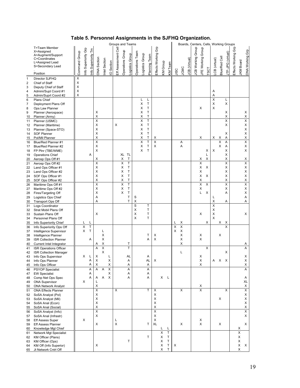|                       |                                                                                                           | Groups and Teams      |                     |                      |                         |                |                         |                     |                              |                   |                 |                | Boards, Centers, Cells, Working Groups |                         |          |              |      |                         |               |                     |                                     |             |              |               |                   |                        |                         |                                      |
|-----------------------|-----------------------------------------------------------------------------------------------------------|-----------------------|---------------------|----------------------|-------------------------|----------------|-------------------------|---------------------|------------------------------|-------------------|-----------------|----------------|----------------------------------------|-------------------------|----------|--------------|------|-------------------------|---------------|---------------------|-------------------------------------|-------------|--------------|---------------|-------------------|------------------------|-------------------------|--------------------------------------|
|                       | T=Team Member<br>X=Assigned<br>A=Augment/Support<br>C=Coordinates<br>L=Assigned Lead<br>S=Secondary Lead  | Command Group         | nfo Superiority Grp | 톱<br>nfo Superiority | ONA Section             | ntel Section   | O Section               | Eff Assessment Cell | Operations Group             | ogistics Group    | Operations Team | ogistics Group | Planning Team                          | Effects Working Grp     | KM Group | KM Team      | JISC | <b>JCMC</b>             | ICB (Virtual) | Group<br>CB Working | Group<br>FE Working                 | <b>LSC1</b> | CB (virtual) | Blue/Red Cell | ITF-JPG (virtual) | Grp<br>Effects Working | <b>IKM Board</b>        | ONA Working Grp                      |
|                       | Position                                                                                                  |                       |                     |                      |                         |                |                         |                     |                              |                   |                 |                |                                        |                         |          |              |      |                         |               |                     |                                     |             |              |               |                   |                        |                         |                                      |
| 1<br>2<br>3<br>4<br>5 | Director SJFHQ<br>Chief of Staff<br>Deputy Chief of Staff<br>Admini/Supt Coord #1<br>Admin/Suprt Coord #2 | X<br>X<br>X<br>X<br>Χ |                     |                      |                         |                |                         |                     |                              |                   |                 |                |                                        |                         |          |              |      |                         |               |                     |                                     |             | Α<br>Α       |               |                   |                        |                         |                                      |
| 6                     | Plans Chief                                                                                               |                       |                     |                      |                         |                |                         |                     |                              |                   |                 | Г              | L                                      |                         |          |              |      |                         |               |                     |                                     |             | X            |               | L                 |                        |                         |                                      |
| 7                     | Deployment Plans Off                                                                                      |                       |                     |                      |                         |                |                         |                     |                              |                   |                 | X              | $\sf T$                                |                         |          |              |      |                         |               |                     |                                     |             | X            |               | X                 |                        |                         |                                      |
| 8<br>9                | Ops Law Planner<br>Planner (Aerospace)                                                                    |                       |                     |                      | х                       |                |                         |                     |                              |                   |                 | X<br>X         | T<br>T                                 |                         |          |              |      |                         |               |                     | X                                   |             | X            |               | X                 |                        |                         | X                                    |
| 10                    | Planner (Army)                                                                                            |                       |                     |                      | X                       |                |                         |                     |                              |                   |                 | Χ              | T                                      |                         |          |              |      |                         |               |                     |                                     |             |              |               | X                 |                        |                         | X                                    |
| 11                    | Planner (USMC)                                                                                            |                       |                     |                      | X                       |                |                         |                     |                              |                   |                 | X              | $\top$                                 |                         |          |              |      |                         |               |                     |                                     |             |              |               | X                 |                        |                         | $\overline{X}$                       |
| 12                    | Planner (Maritime)                                                                                        |                       |                     |                      | X                       |                |                         | X                   |                              |                   |                 | Χ              | T                                      |                         |          |              |      |                         |               |                     |                                     |             |              |               | X                 |                        |                         | $\pmb{\mathsf{X}}$                   |
| 13                    | Planner (Space-STO)                                                                                       |                       |                     |                      | х                       |                |                         |                     |                              |                   |                 | Χ<br>X         | T<br>T                                 |                         |          |              |      |                         |               |                     |                                     |             |              |               |                   |                        |                         | $\pmb{\times}$<br>$\pmb{\mathsf{X}}$ |
| 14<br>15              | SOF Planner<br>Pol/Mil Planner                                                                            |                       |                     |                      | х<br>X                  |                |                         |                     |                              |                   |                 | X              | $\mathsf{T}$                           | х                       |          |              |      |                         |               |                     | X                                   |             | X            | х             | х<br>Α            |                        |                         | X                                    |
| 16                    | Blue/Red Planner #1                                                                                       |                       |                     |                      | X                       |                |                         |                     |                              |                   |                 | X              | T                                      | X                       |          |              |      | Α                       |               |                     |                                     |             |              | X             | A                 |                        |                         | Χ                                    |
| 17                    | Blue/Red Planner #2                                                                                       |                       |                     |                      | х                       |                |                         |                     |                              |                   |                 | Х              | $\mathsf T$                            | х                       |          |              |      | Α                       |               |                     |                                     |             |              | X             | Α                 |                        |                         | $\pmb{\mathsf{X}}$                   |
| 18                    | FP Plnr (TBE/WME)                                                                                         |                       |                     |                      | х                       |                |                         |                     |                              |                   |                 | X              | $\mathsf{T}$                           |                         |          |              |      |                         |               |                     |                                     | Х           | х            |               | X                 |                        |                         | X                                    |
| 19                    | <b>Operations Chief</b>                                                                                   |                       |                     | Α                    |                         |                |                         |                     | XL TL                        |                   |                 |                |                                        |                         |          |              |      |                         |               |                     |                                     | L           |              |               | X                 |                        |                         |                                      |
| 20<br>21              | Aerosp Ops Off #1                                                                                         |                       |                     |                      | х<br>X                  |                |                         |                     | Χ<br>X                       | $\sf T$<br>T      |                 |                |                                        |                         |          |              |      |                         |               |                     | X<br>X                              | X           |              |               | X<br>X            |                        |                         | X<br>$\overline{\mathsf{x}}$         |
| 22                    | Aerosp Ops Off #2<br>Land Ops Officer #1                                                                  |                       |                     |                      | х                       |                |                         |                     | Χ                            | T                 |                 |                |                                        |                         |          |              |      |                         |               |                     | X                                   | X           |              |               | X                 |                        |                         | $\pmb{\times}$                       |
| 23                    | Land Ops Officer #2                                                                                       |                       |                     |                      | X                       |                |                         |                     | X                            | $\top$            |                 |                |                                        |                         |          |              |      |                         |               |                     | X                                   |             |              |               | X                 |                        |                         | $\pmb{\mathsf{X}}$                   |
| 24                    | SOF Ops Officer #1                                                                                        |                       |                     |                      | X                       |                |                         |                     | Χ                            | T                 |                 |                |                                        |                         |          |              |      |                         |               |                     | X                                   | X           |              |               | X                 |                        |                         | X                                    |
| 25                    | SOF Ops Officer #2                                                                                        |                       |                     |                      | X                       |                |                         |                     | Χ                            | T                 |                 |                |                                        |                         |          |              |      |                         |               |                     | Χ                                   |             |              |               | X                 |                        |                         | X                                    |
| 26                    | Maritime Ops Off #1<br>Maritime Ops Off #2                                                                |                       |                     |                      | X<br>х                  |                |                         |                     | $\overline{\mathsf{x}}$<br>Χ | $\top$<br>$\sf T$ |                 |                |                                        |                         |          |              |      |                         |               |                     | $\overline{\mathsf{x}}$<br>Χ        | X           |              |               | X<br>X            |                        |                         | $\overline{\mathsf{x}}$<br>X         |
| 27<br>28              | Fires/Targeting Off                                                                                       |                       |                     |                      | X                       |                |                         |                     | Χ                            | $\top$            |                 |                |                                        |                         |          |              |      |                         |               |                     | Г                                   | X           |              |               | A                 |                        |                         | X                                    |
| 29                    | Logistics Ops Chief                                                                                       |                       |                     |                      | Α                       |                |                         |                     |                              | T                 | S               |                |                                        |                         |          |              |      |                         |               |                     |                                     |             | L            |               |                   |                        |                         | Α                                    |
| 30                    | Transport Ops Off                                                                                         |                       |                     |                      | Α                       |                |                         |                     |                              | T                 | X               |                |                                        |                         |          |              |      |                         |               |                     |                                     |             | X            |               | Α                 |                        |                         | Α                                    |
| 31                    | Logs Coordinator                                                                                          |                       |                     |                      |                         |                |                         |                     |                              |                   | S               |                | T                                      |                         |          |              |      |                         |               |                     |                                     |             | X            |               |                   |                        |                         |                                      |
| 32                    | Strat Mobil Plans Off                                                                                     |                       |                     |                      | X                       |                |                         |                     |                              |                   | Χ               |                | $\sf T$<br>$\mathsf T$                 |                         |          |              |      |                         |               |                     | X                                   |             | X<br>X       |               |                   |                        |                         |                                      |
| 33<br>34              | Sustain Plans Off<br>Personnel Plans Off                                                                  |                       |                     |                      |                         |                |                         |                     |                              |                   | X<br>X          |                | T                                      |                         |          |              |      |                         |               |                     |                                     |             | X            |               |                   |                        |                         | X                                    |
| 35                    | Info Superiority Chief                                                                                    |                       | L                   | L                    |                         |                |                         |                     |                              |                   |                 |                |                                        |                         |          |              | L    | х                       |               |                     |                                     | х           |              | х             | х                 |                        |                         |                                      |
| 36                    | Info Superiority Ops Off                                                                                  |                       | X                   | T                    |                         |                |                         |                     |                              |                   |                 |                |                                        |                         |          |              | X    | $\overline{\mathsf{x}}$ |               |                     |                                     |             |              |               | X                 |                        |                         |                                      |
| 37                    | Intelligence Supervisor                                                                                   |                       | X                   | T                    |                         | L              |                         |                     |                              |                   |                 |                |                                        |                         |          |              | X    | X                       |               |                     |                                     |             |              |               |                   |                        |                         |                                      |
| 38                    | Intelligence Planner                                                                                      |                       |                     | Α                    |                         | X<br>Χ         |                         |                     |                              |                   |                 |                | $\mathsf{T}$<br>Α                      | х<br>X                  |          |              |      | X<br>х                  |               |                     | Х<br>X                              |             |              | X             |                   |                        |                         |                                      |
| 39<br>40              | <b>ISR Collection Planner</b><br>Current Intel Integrator                                                 |                       |                     |                      | Α                       | Χ              |                         |                     |                              | Τ                 |                 |                |                                        |                         |          |              |      | X                       |               |                     |                                     |             |              |               |                   |                        |                         | Α                                    |
| 41                    | <b>ISR Operations Officer</b>                                                                             |                       |                     |                      | A                       | X              |                         |                     |                              | T                 |                 |                |                                        |                         |          |              |      |                         |               |                     |                                     | X           |              |               |                   |                        |                         | Α                                    |
| 42                    | <b>ISR Collection Manager</b>                                                                             |                       |                     |                      |                         | X              |                         |                     |                              |                   |                 |                |                                        |                         |          |              |      | L                       |               |                     |                                     |             |              |               | X                 |                        |                         |                                      |
| 43                    | Info Ops Supervisor                                                                                       |                       | Х                   | L                    | X                       |                | L                       |                     |                              | AL                |                 |                | Α                                      |                         |          |              |      |                         |               |                     | X                                   |             |              |               |                   |                        |                         | Χ                                    |
| 44                    | Info Ops Planner                                                                                          |                       |                     | Α<br>Α               | Χ<br>X                  |                | X<br>X                  |                     |                              | A<br>Α            |                 |                | AL<br>Α                                | X                       |          |              |      |                         |               |                     | Χ<br>X                              |             | Α            | Х             | X                 |                        |                         | X<br>X                               |
| 45<br>46              | Info Ops Officer<br><b>PSYOP Specialist</b>                                                               |                       |                     | A                    | Α                       | $\overline{A}$ | $\overline{\mathsf{x}}$ |                     |                              | Α                 |                 |                | Α                                      |                         |          |              |      |                         |               |                     |                                     |             |              |               |                   |                        |                         | A                                    |
| 47                    | <b>EW Specialist</b>                                                                                      |                       |                     | Α                    |                         |                | X                       |                     |                              | Α                 |                 |                | Α                                      |                         |          |              |      |                         |               |                     |                                     |             |              |               |                   |                        |                         |                                      |
| 48                    | Comp Net Ops Spec                                                                                         |                       |                     | Α                    | Α                       | Α              | X                       |                     |                              | Α                 |                 |                | Α                                      |                         | X        | L,           |      |                         |               |                     |                                     |             |              |               |                   |                        |                         | Α                                    |
| 49                    | <b>ONA Supervisor</b>                                                                                     |                       | X                   |                      | L                       |                |                         |                     |                              |                   |                 |                |                                        |                         |          |              |      |                         |               |                     |                                     |             |              |               |                   |                        |                         | XL                                   |
| 50                    | <b>ONA Network Analyst</b>                                                                                |                       |                     |                      | Χ<br>$\pmb{\times}$     |                |                         |                     |                              |                   |                 |                | T                                      |                         |          |              |      |                         |               |                     | $\times$<br>$\overline{\mathsf{x}}$ |             |              |               | X                 |                        |                         | X<br>X                               |
| 51<br>52              | <b>ONA Effects Planner</b><br>SoSA Analyst (Pol)                                                          |                       |                     |                      | х                       |                |                         | X                   |                              |                   |                 |                |                                        | X<br>X                  |          |              |      | X                       |               |                     |                                     |             |              |               |                   |                        |                         | X                                    |
| 53                    | SoSA Analyst (Mil)                                                                                        |                       |                     |                      | X                       |                |                         |                     |                              |                   |                 |                |                                        | X                       |          |              |      |                         |               |                     |                                     |             |              | X             |                   |                        |                         | $\pmb{\times}$                       |
| 54                    | SoSA Anal (Econ)                                                                                          |                       |                     |                      | X                       |                |                         |                     |                              |                   |                 |                |                                        | X                       |          |              |      |                         |               |                     |                                     |             |              |               |                   |                        |                         | X                                    |
| 55                    | SoSA Anal (Social)                                                                                        |                       |                     |                      | $\pmb{\times}$          |                |                         |                     |                              |                   |                 |                |                                        | X                       |          |              |      |                         |               |                     |                                     |             |              |               |                   |                        |                         | $\overline{\mathsf{x}}$              |
| 56                    | SoSA Analyst (Info)                                                                                       |                       |                     |                      | $\overline{\mathsf{x}}$ |                |                         |                     |                              |                   |                 |                |                                        | $\overline{\mathsf{x}}$ |          |              |      |                         |               |                     |                                     |             |              |               |                   |                        |                         | $\overline{\mathsf{x}}$              |
| 57                    | SoSA Anal (Infrastr)<br>Eff Assess Super                                                                  |                       | X                   |                      | х                       |                |                         | L                   |                              |                   |                 |                |                                        | X<br>X                  |          |              |      |                         |               |                     | X                                   |             |              |               |                   |                        |                         | X                                    |
| 58<br>59              | <b>Eff Assess Planner</b>                                                                                 |                       |                     |                      | X                       |                |                         | X                   |                              |                   |                 |                | $\mathsf{T}$                           | XL                      |          |              |      | X                       |               |                     | X                                   |             |              | X             |                   |                        |                         | X                                    |
| 60                    | Knowledge Mgt Chief                                                                                       |                       |                     |                      |                         |                |                         |                     |                              |                   |                 |                |                                        |                         | L        | L            |      |                         |               |                     |                                     |             |              |               |                   |                        | х                       |                                      |
| 61                    | Network Mgt Specialist                                                                                    |                       |                     |                      |                         |                |                         |                     |                              |                   |                 |                |                                        |                         | X        | $\mathsf T$  |      |                         |               |                     |                                     |             |              |               |                   |                        | $\overline{\mathsf{x}}$ |                                      |
| 62                    | KM Officer (Plans)                                                                                        |                       |                     |                      |                         |                |                         |                     |                              |                   |                 |                | T                                      |                         | X        | Т            |      |                         |               |                     |                                     |             |              |               |                   |                        | X                       |                                      |
| 63<br>64              | KM Officer (Ops)<br>KM Off (Info Superior)                                                                |                       |                     |                      | X                       |                |                         |                     |                              | T                 |                 |                |                                        |                         | X<br>X   | T<br>$\sf T$ | Х    |                         |               |                     |                                     |             |              |               |                   |                        | X<br>$\mathsf X$        | Х                                    |
| 65                    | Jt Network Cntrl Off                                                                                      |                       |                     |                      |                         |                |                         |                     |                              |                   |                 |                |                                        |                         | X        | T            |      |                         |               |                     |                                     |             |              |               |                   |                        | X                       |                                      |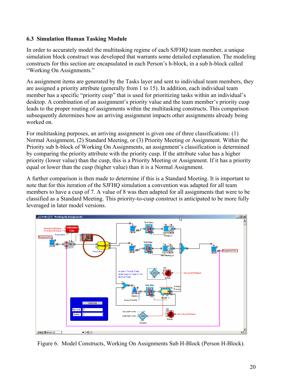#### **6.3 Simulation Human Tasking Module**

In order to accurately model the multitasking regime of each SJFHQ team member, a unique simulation block construct was developed that warrants some detailed explanation. The modeling constructs for this section are encapsulated in each Person's h-block, in a sub h-block called "Working On Assignments."

As assignment items are generated by the Tasks layer and sent to individual team members, they are assigned a priority attribute (generally from 1 to 15). In addition, each individual team member has a specific "priority cusp" that is used for prioritizing tasks within an individual's desktop. A combination of an assignment's priority value and the team member's priority cusp leads to the proper routing of assignments within the multitasking constructs. This comparison subsequently determines how an arriving assignment impacts other assignments already being worked on.

For multitasking purposes, an arriving assignment is given one of three classifications: (1) Normal Assignment, (2) Standard Meeting, or (3) Priority Meeting or Assignment. Within the Priority sub h-block of Working On Assignments, an assignment's classification is determined by comparing the priority attribute with the priority cusp. If the attribute value has a higher priority (lower value) than the cusp, this is a Priority Meeting or Assignment. If it has a priority equal or lower than the cusp (higher value) than it is a Normal Assignment.

A further comparison is then made to determine if this is a Standard Meeting. It is important to note that for this iteration of the SJFHQ simulation a convention was adapted for all team members to have a cusp of 7. A value of 8 was then adapted for all assignments that were to be classified as a Standard Meeting. This priority-to-cusp construct is anticipated to be more fully leveraged in later model versions.



Figure 6. Model Constructs, Working On Assignments Sub H-Block (Person H-Block).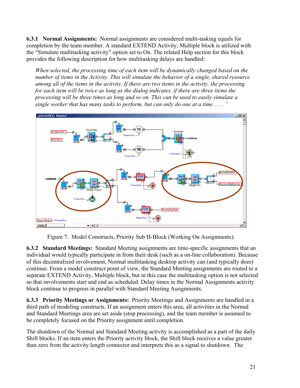**6.3.1 Normal Assignments:** Normal assignments are considered multi-tasking equals for completion by the team member. A standard EXTEND Activity, Multiple block is utilized with the "Simulate multitasking activity" option set to On. The related Help section for this block provides the following description for how multitasking delays are handled:

*When selected, the processing time of each item will be dynamically changed based on the number of items in the Activity. This will simulate the behavior of a single, shared resource among all of the items in the activity. If there are two items in the activity, the processing for each item will be twice as long as the dialog indicates, if there are three items the processing will be three times as long and so on. This can be used to easily simulate a single worker that has many tasks to perform, but can only do one at a time . . . ."* 



Figure 7. Model Constructs, Priority Sub H-Block (Working On Assignments).

**6.3.2 Standard Meetings:** Standard Meeting assignments are time-specific assignments that an individual would typically participate in from their desk (such as a on-line collaboration). Because of this decentralized involvement, Normal multitasking desktop activity can (and typically does) continue. From a model construct point of view, the Standard Meeting assignments are routed to a separate EXTEND Activity, Multiple block, but in this case the multitasking option is not selected so that involvements start and end as scheduled. Delay times in the Normal Assignments activity block continue to progress in parallel with Standard Meeting Assignments.

**6.3.3 Priority Meetings or Assignments:** Priority Meetings and Assignments are handled in a third path of modeling constructs. If an assignment enters this area, all activities in the Normal and Standard Meetings area are set aside (stop processing), and the team member is assumed to be completely focused on the Priority assignment until completion.

The shutdown of the Normal and Standard Meeting activity is accomplished as a part of the daily Shift blocks. If an item enters the Priority activity block, the Shift block receives a value greater than zero from the activity length connector and interprets this as a signal to shutdown. The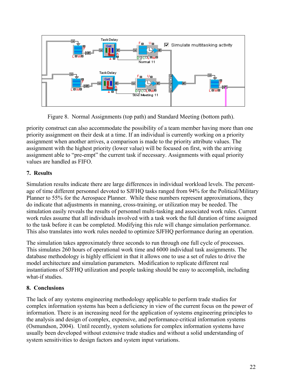

Figure 8. Normal Assignments (top path) and Standard Meeting (bottom path).

priority construct can also accommodate the possibility of a team member having more than one priority assignment on their desk at a time. If an individual is currently working on a priority assignment when another arrives, a comparison is made to the priority attribute values. The assignment with the highest priority (lower value) will be focused on first, with the arriving assignment able to "pre-empt" the current task if necessary. Assignments with equal priority values are handled as FIFO.

# **7. Results**

Simulation results indicate there are large differences in individual workload levels. The percentage of time different personnel devoted to SJFHQ tasks ranged from 94% for the Political/Military Planner to 55% for the Aerospace Planner. While these numbers represent approximations, they do indicate that adjustments in manning, cross-training, or utilization may be needed. The simulation easily reveals the results of personnel multi-tasking and associated work rules. Current work rules assume that all individuals involved with a task work the full duration of time assigned to the task before it can be completed. Modifying this rule will change simulation performance. This also translates into work rules needed to optimize SJFHQ performance during an operation.

The simulation takes approximately three seconds to run through one full cycle of processes. This simulates 260 hours of operational work time and 6000 individual task assignments. The database methodology is highly efficient in that it allows one to use a set of rules to drive the model architecture and simulation parameters. Modification to replicate different real instantiations of SJFHQ utilization and people tasking should be easy to accomplish, including what-if studies.

# **8. Conclusions**

The lack of any systems engineering methodology applicable to perform trade studies for complex information systems has been a deficiency in view of the current focus on the power of information. There is an increasing need for the application of systems engineering principles to the analysis and design of complex, expensive, and performance-critical information systems (Osmundson, 2004). Until recently, system solutions for complex information systems have usually been developed without extensive trade studies and without a solid understanding of system sensitivities to design factors and system input variations.